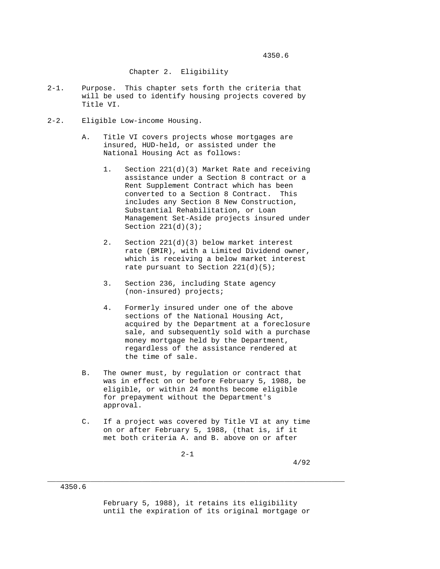## Chapter 2. Eligibility

- 2-1. Purpose. This chapter sets forth the criteria that will be used to identify housing projects covered by Title VI.
- 2-2. Eligible Low-income Housing.
	- A. Title VI covers projects whose mortgages are insured, HUD-held, or assisted under the National Housing Act as follows:
		- 1. Section 221(d)(3) Market Rate and receiving assistance under a Section 8 contract or a Rent Supplement Contract which has been converted to a Section 8 Contract. This includes any Section 8 New Construction, Substantial Rehabilitation, or Loan Management Set-Aside projects insured under Section  $221(d)(3)$ ;
		- 2. Section 221(d)(3) below market interest rate (BMIR), with a Limited Dividend owner, which is receiving a below market interest rate pursuant to Section 221(d)(5);
		- 3. Section 236, including State agency (non-insured) projects;
		- 4. Formerly insured under one of the above sections of the National Housing Act, acquired by the Department at a foreclosure sale, and subsequently sold with a purchase money mortgage held by the Department, regardless of the assistance rendered at the time of sale.
	- B. The owner must, by regulation or contract that was in effect on or before February 5, 1988, be eligible, or within 24 months become eligible for prepayment without the Department's approval.
	- C. If a project was covered by Title VI at any time on or after February 5, 1988, (that is, if it met both criteria A. and B. above on or after

\_\_\_\_\_\_\_\_\_\_\_\_\_\_\_\_\_\_\_\_\_\_\_\_\_\_\_\_\_\_\_\_\_\_\_\_\_\_\_\_\_\_\_\_\_\_\_\_\_\_\_\_\_\_\_\_\_\_\_\_\_\_\_\_\_\_\_\_\_

2-1

4350.6

 February 5, 1988), it retains its eligibility until the expiration of its original mortgage or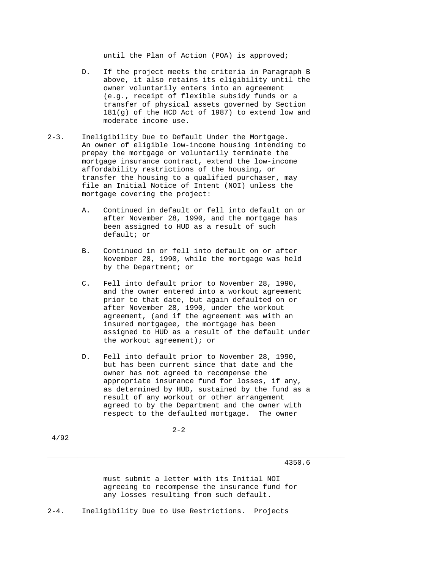until the Plan of Action (POA) is approved;

- D. If the project meets the criteria in Paragraph B above, it also retains its eligibility until the owner voluntarily enters into an agreement (e.g., receipt of flexible subsidy funds or a transfer of physical assets governed by Section 181(g) of the HCD Act of 1987) to extend low and moderate income use.
- 2-3. Ineligibility Due to Default Under the Mortgage. An owner of eligible low-income housing intending to prepay the mortgage or voluntarily terminate the mortgage insurance contract, extend the low-income affordability restrictions of the housing, or transfer the housing to a qualified purchaser, may file an Initial Notice of Intent (NOI) unless the mortgage covering the project:
	- A. Continued in default or fell into default on or after November 28, 1990, and the mortgage has been assigned to HUD as a result of such default; or
	- B. Continued in or fell into default on or after November 28, 1990, while the mortgage was held by the Department; or
	- C. Fell into default prior to November 28, 1990, and the owner entered into a workout agreement prior to that date, but again defaulted on or after November 28, 1990, under the workout agreement, (and if the agreement was with an insured mortgagee, the mortgage has been assigned to HUD as a result of the default under the workout agreement); or
	- D. Fell into default prior to November 28, 1990, but has been current since that date and the owner has not agreed to recompense the appropriate insurance fund for losses, if any, as determined by HUD, sustained by the fund as a result of any workout or other arrangement agreed to by the Department and the owner with respect to the defaulted mortgage. The owner

 $2 - 2$ 

4/92

4350.6

 must submit a letter with its Initial NOI agreeing to recompense the insurance fund for any losses resulting from such default.

\_\_\_\_\_\_\_\_\_\_\_\_\_\_\_\_\_\_\_\_\_\_\_\_\_\_\_\_\_\_\_\_\_\_\_\_\_\_\_\_\_\_\_\_\_\_\_\_\_\_\_\_\_\_\_\_\_\_\_\_\_\_\_\_\_\_\_\_\_

2-4. Ineligibility Due to Use Restrictions. Projects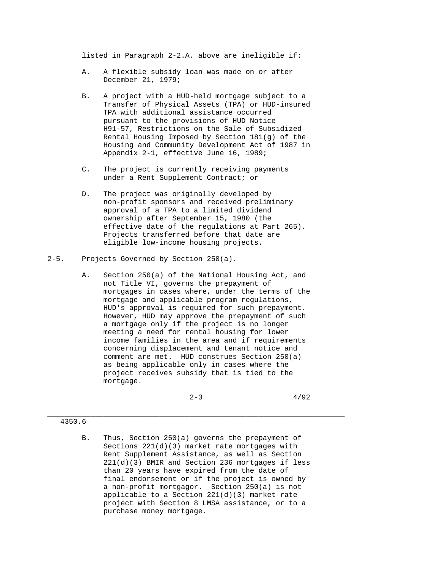listed in Paragraph 2-2.A. above are ineligible if:

- A. A flexible subsidy loan was made on or after December 21, 1979;
- B. A project with a HUD-held mortgage subject to a Transfer of Physical Assets (TPA) or HUD-insured TPA with additional assistance occurred pursuant to the provisions of HUD Notice H91-57, Restrictions on the Sale of Subsidized Rental Housing Imposed by Section 181(g) of the Housing and Community Development Act of 1987 in Appendix 2-1, effective June 16, 1989;
- C. The project is currently receiving payments under a Rent Supplement Contract; or
- D. The project was originally developed by non-profit sponsors and received preliminary approval of a TPA to a limited dividend ownership after September 15, 1980 (the effective date of the regulations at Part 265). Projects transferred before that date are eligible low-income housing projects.
- 2-5. Projects Governed by Section 250(a).
	- A. Section 250(a) of the National Housing Act, and not Title VI, governs the prepayment of mortgages in cases where, under the terms of the mortgage and applicable program regulations, HUD's approval is required for such prepayment. However, HUD may approve the prepayment of such a mortgage only if the project is no longer meeting a need for rental housing for lower income families in the area and if requirements concerning displacement and tenant notice and comment are met. HUD construes Section 250(a) as being applicable only in cases where the project receives subsidy that is tied to the mortgage.

 $2-3$   $4/92$ 

## 4350.6

 B. Thus, Section 250(a) governs the prepayment of Sections 221(d)(3) market rate mortgages with Rent Supplement Assistance, as well as Section 221(d)(3) BMIR and Section 236 mortgages if less than 20 years have expired from the date of final endorsement or if the project is owned by a non-profit mortgagor. Section 250(a) is not applicable to a Section 221(d)(3) market rate project with Section 8 LMSA assistance, or to a purchase money mortgage.

\_\_\_\_\_\_\_\_\_\_\_\_\_\_\_\_\_\_\_\_\_\_\_\_\_\_\_\_\_\_\_\_\_\_\_\_\_\_\_\_\_\_\_\_\_\_\_\_\_\_\_\_\_\_\_\_\_\_\_\_\_\_\_\_\_\_\_\_\_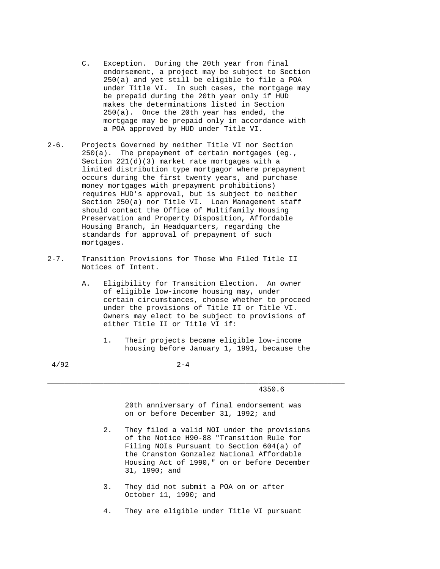- C. Exception. During the 20th year from final endorsement, a project may be subject to Section 250(a) and yet still be eligible to file a POA under Title VI. In such cases, the mortgage may be prepaid during the 20th year only if HUD makes the determinations listed in Section 250(a). Once the 20th year has ended, the mortgage may be prepaid only in accordance with a POA approved by HUD under Title VI.
- 2-6. Projects Governed by neither Title VI nor Section 250(a). The prepayment of certain mortgages (eg., Section 221(d)(3) market rate mortgages with a limited distribution type mortgagor where prepayment occurs during the first twenty years, and purchase money mortgages with prepayment prohibitions) requires HUD's approval, but is subject to neither Section 250(a) nor Title VI. Loan Management staff should contact the Office of Multifamily Housing Preservation and Property Disposition, Affordable Housing Branch, in Headquarters, regarding the standards for approval of prepayment of such mortgages.
- 2-7. Transition Provisions for Those Who Filed Title II Notices of Intent.
	- A. Eligibility for Transition Election. An owner of eligible low-income housing may, under certain circumstances, choose whether to proceed under the provisions of Title II or Title VI. Owners may elect to be subject to provisions of either Title II or Title VI if:
		- 1. Their projects became eligible low-income housing before January 1, 1991, because the

\_\_\_\_\_\_\_\_\_\_\_\_\_\_\_\_\_\_\_\_\_\_\_\_\_\_\_\_\_\_\_\_\_\_\_\_\_\_\_\_\_\_\_\_\_\_\_\_\_\_\_\_\_\_\_\_\_\_\_\_\_\_\_\_\_\_\_\_\_

 $4/92$  2-4

4350.6

 20th anniversary of final endorsement was on or before December 31, 1992; and

- 2. They filed a valid NOI under the provisions of the Notice H90-88 "Transition Rule for Filing NOIs Pursuant to Section 604(a) of the Cranston Gonzalez National Affordable Housing Act of 1990," on or before December 31, 1990; and
- 3. They did not submit a POA on or after October 11, 1990; and
- 4. They are eligible under Title VI pursuant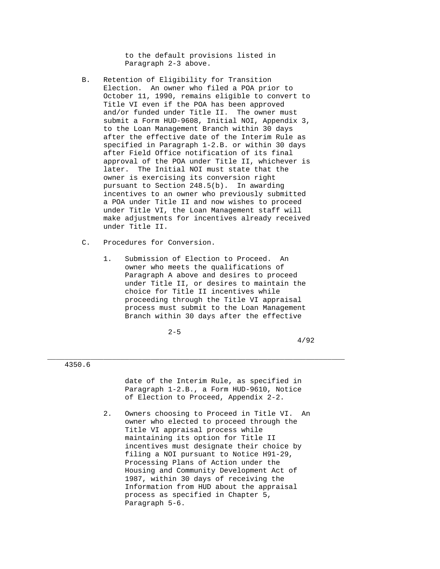to the default provisions listed in Paragraph 2-3 above.

- B. Retention of Eligibility for Transition Election. An owner who filed a POA prior to October 11, 1990, remains eligible to convert to Title VI even if the POA has been approved and/or funded under Title II. The owner must submit a Form HUD-9608, Initial NOI, Appendix 3, to the Loan Management Branch within 30 days after the effective date of the Interim Rule as specified in Paragraph 1-2.B. or within 30 days after Field Office notification of its final approval of the POA under Title II, whichever is later. The Initial NOI must state that the owner is exercising its conversion right pursuant to Section 248.5(b). In awarding incentives to an owner who previously submitted a POA under Title II and now wishes to proceed under Title VI, the Loan Management staff will make adjustments for incentives already received under Title II.
- C. Procedures for Conversion.
	- 1. Submission of Election to Proceed. An owner who meets the qualifications of Paragraph A above and desires to proceed under Title II, or desires to maintain the choice for Title II incentives while proceeding through the Title VI appraisal process must submit to the Loan Management Branch within 30 days after the effective

\_\_\_\_\_\_\_\_\_\_\_\_\_\_\_\_\_\_\_\_\_\_\_\_\_\_\_\_\_\_\_\_\_\_\_\_\_\_\_\_\_\_\_\_\_\_\_\_\_\_\_\_\_\_\_\_\_\_\_\_\_\_\_\_\_\_\_\_\_

 $2-5$ 

4/92

4350.6

 date of the Interim Rule, as specified in Paragraph 1-2.B., a Form HUD-9610, Notice of Election to Proceed, Appendix 2-2.

 2. Owners choosing to Proceed in Title VI. An owner who elected to proceed through the Title VI appraisal process while maintaining its option for Title II incentives must designate their choice by filing a NOI pursuant to Notice H91-29, Processing Plans of Action under the Housing and Community Development Act of 1987, within 30 days of receiving the Information from HUD about the appraisal process as specified in Chapter 5, Paragraph 5-6.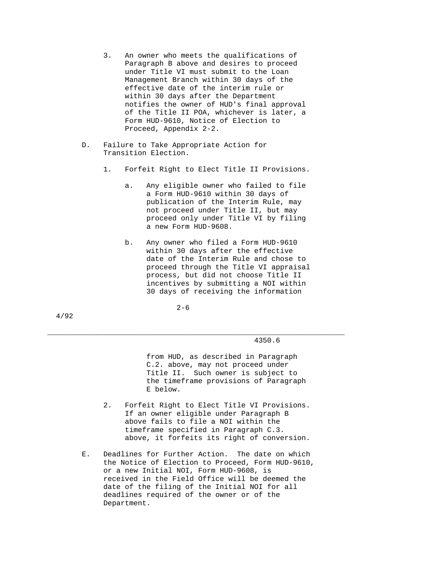- 3. An owner who meets the qualifications of Paragraph B above and desires to proceed under Title VI must submit to the Loan Management Branch within 30 days of the effective date of the interim rule or within 30 days after the Department notifies the owner of HUD's final approval of the Title II POA, whichever is later, a Form HUD-9610, Notice of Election to Proceed, Appendix 2-2.
- D. Failure to Take Appropriate Action for Transition Election.
	- 1. Forfeit Right to Elect Title II Provisions.
		- a. Any eligible owner who failed to file a Form HUD-9610 within 30 days of publication of the Interim Rule, may not proceed under Title II, but may proceed only under Title VI by filing a new Form HUD-9608.
		- b. Any owner who filed a Form HUD-9610 within 30 days after the effective date of the Interim Rule and chose to proceed through the Title VI appraisal process, but did not choose Title II incentives by submitting a NOI within 30 days of receiving the information

 $2 - 6$ 

\_\_\_\_\_\_\_\_\_\_\_\_\_\_\_\_\_\_\_\_\_\_\_\_\_\_\_\_\_\_\_\_\_\_\_\_\_\_\_\_\_\_\_\_\_\_\_\_\_\_\_\_\_\_\_\_\_\_\_\_\_\_\_\_\_\_\_\_\_ 4350.6

> from HUD, as described in Paragraph C.2. above, may not proceed under Title II. Such owner is subject to the timeframe provisions of Paragraph E below.

- 2. Forfeit Right to Elect Title VI Provisions. If an owner eligible under Paragraph B above fails to file a NOI within the timeframe specified in Paragraph C.3. above, it forfeits its right of conversion.
- E. Deadlines for Further Action. The date on which the Notice of Election to Proceed, Form HUD-9610, or a new Initial NOI, Form HUD-9608, is received in the Field Office will be deemed the date of the filing of the Initial NOI for all deadlines required of the owner or of the Department.

4/92